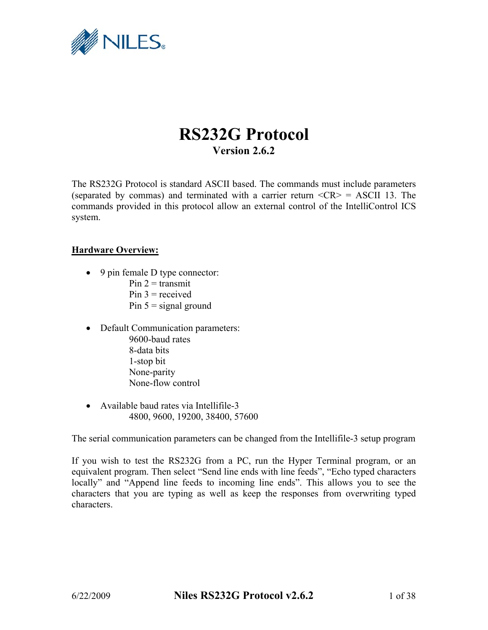

# **RS232G Protocol Version 2.6.2**

The RS232G Protocol is standard ASCII based. The commands must include parameters (separated by commas) and terminated with a carrier return  $\langle CR \rangle$  = ASCII 13. The commands provided in this protocol allow an external control of the IntelliControl ICS system.

## **Hardware Overview:**

- 9 pin female D type connector:
	- Pin  $2 =$  transmit  $Pin 3 = received$
	- Pin  $5 =$  signal ground
- Default Communication parameters: 9600-baud rates 8-data bits 1-stop bit None-parity None-flow control
- Available baud rates via Intellifile-3 4800, 9600, 19200, 38400, 57600

The serial communication parameters can be changed from the Intellifile-3 setup program

If you wish to test the RS232G from a PC, run the Hyper Terminal program, or an equivalent program. Then select "Send line ends with line feeds", "Echo typed characters locally" and "Append line feeds to incoming line ends". This allows you to see the characters that you are typing as well as keep the responses from overwriting typed characters.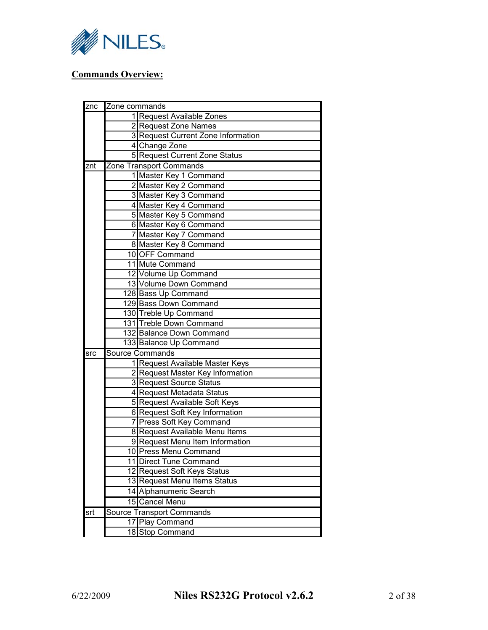

# **Commands Overview:**

| znc                     | Zone commands           |                                    |  |
|-------------------------|-------------------------|------------------------------------|--|
|                         |                         | 1 Request Available Zones          |  |
|                         |                         | 2 Request Zone Names               |  |
|                         |                         | 3 Request Current Zone Information |  |
|                         |                         | 4 Change Zone                      |  |
|                         |                         | 5 Request Current Zone Status      |  |
| znt                     |                         | Zone Transport Commands            |  |
|                         |                         | 1 Master Key 1 Command             |  |
|                         |                         | 2 Master Key 2 Command             |  |
|                         |                         | 3 Master Key 3 Command             |  |
|                         |                         | 4 Master Key 4 Command             |  |
|                         |                         | 5 Master Key 5 Command             |  |
|                         |                         | 6 Master Key 6 Command             |  |
|                         |                         | 7 Master Key 7 Command             |  |
|                         |                         | 8 Master Key 8 Command             |  |
|                         |                         | 10 OFF Command                     |  |
|                         |                         | 11 Mute Command                    |  |
|                         |                         | 12 Volume Up Command               |  |
|                         |                         | 13 Volume Down Command             |  |
|                         |                         | 128 Bass Up Command                |  |
|                         | 129 Bass Down Command   |                                    |  |
|                         | 130 Treble Up Command   |                                    |  |
|                         | 131 Treble Down Command |                                    |  |
|                         |                         | 132 Balance Down Command           |  |
|                         |                         | 133 Balance Up Command             |  |
| $\overline{\text{src}}$ |                         | Source Commands                    |  |
|                         |                         | 1 Request Available Master Keys    |  |
|                         |                         | 2 Request Master Key Information   |  |
|                         |                         | 3 Request Source Status            |  |
|                         |                         | 4 Request Metadata Status          |  |
|                         |                         | 5 Request Available Soft Keys      |  |
|                         |                         | 6 Request Soft Key Information     |  |
|                         |                         | 7 Press Soft Key Command           |  |
|                         |                         | 8 Request Available Menu Items     |  |
|                         |                         | 9 Request Menu Item Information    |  |
|                         |                         | 10 Press Menu Command              |  |
|                         |                         | 11 Direct Tune Command             |  |
|                         |                         | 12 Request Soft Keys Status        |  |
|                         |                         | 13 Request Menu Items Status       |  |
|                         |                         | 14 Alphanumeric Search             |  |
|                         |                         | 15 Cancel Menu                     |  |
| srt                     |                         | <b>Source Transport Commands</b>   |  |
|                         |                         | 17 Play Command                    |  |
|                         |                         | 18 Stop Command                    |  |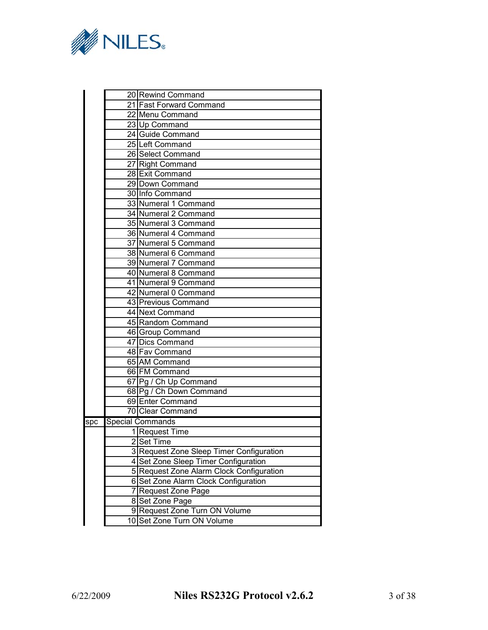

| 20 Rewind Command                        |
|------------------------------------------|
| 21 Fast Forward Command                  |
| 22 Menu Command                          |
| 23 Up Command                            |
| 24 Guide Command                         |
| 25 Left Command                          |
| 26 Select Command                        |
| 27 Right Command                         |
| 28 Exit Command                          |
| 29 Down Command                          |
| 30 Info Command                          |
| 33 Numeral 1 Command                     |
| 34 Numeral 2 Command                     |
| 35 Numeral 3 Command                     |
| 36 Numeral 4 Command                     |
| 37 Numeral 5 Command                     |
| 38 Numeral 6 Command                     |
| 39 Numeral 7 Command                     |
| 40 Numeral 8 Command                     |
| 41 Numeral 9 Command                     |
| 42 Numeral 0 Command                     |
| 43 Previous Command                      |
| 44 Next Command                          |
| 45 Random Command                        |
| 46 Group Command                         |
| 47 Dics Command                          |
| 48 Fav Command                           |
| 65 AM Command                            |
| 66 FM Command                            |
| 67 Pg / Ch Up Command                    |
| 68 Pg / Ch Down Command                  |
| 69 Enter Command                         |
| 70 Clear Command                         |
|                                          |
| 1 Request Time                           |
| 2 Set Time                               |
| 3 Request Zone Sleep Timer Configuration |
| 4 Set Zone Sleep Timer Configuration     |
| 5 Request Zone Alarm Clock Configuration |
| 6 Set Zone Alarm Clock Configuration     |
| 7 Request Zone Page                      |
| 8 Set Zone Page                          |
| 9 Request Zone Turn ON Volume            |
| 10 Set Zone Turn ON Volume               |
| <b>Special Commands</b>                  |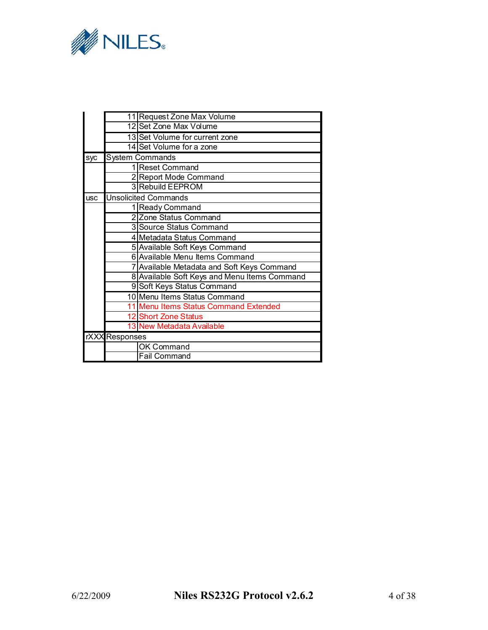

|            |                                            | 11 Request Zone Max Volume                   |  |  |
|------------|--------------------------------------------|----------------------------------------------|--|--|
|            |                                            | 12 Set Zone Max Volume                       |  |  |
|            |                                            | 13 Set Volume for current zone               |  |  |
|            |                                            | 14 Set Volume for a zone                     |  |  |
| syc        |                                            | <b>System Commands</b>                       |  |  |
|            |                                            | 1 Reset Command                              |  |  |
|            |                                            | 2 Report Mode Command                        |  |  |
|            |                                            | 3 Rebuild EEPROM                             |  |  |
| <b>USC</b> |                                            | <b>Unsolicited Commands</b>                  |  |  |
|            |                                            | 1 Ready Command                              |  |  |
|            |                                            | 2 Zone Status Command                        |  |  |
|            |                                            | 3 Source Status Command                      |  |  |
|            | 4 Metadata Status Command                  |                                              |  |  |
|            | 5 Available Soft Keys Command              |                                              |  |  |
|            | 6 Available Menu Items Command             |                                              |  |  |
|            | 7 Available Metadata and Soft Keys Command |                                              |  |  |
|            |                                            | 8 Available Soft Keys and Menu Items Command |  |  |
|            |                                            | 9 Soft Keys Status Command                   |  |  |
|            |                                            | 10 Menu Items Status Command                 |  |  |
|            |                                            | 11 Menu Items Status Command Extended        |  |  |
|            |                                            | 12 Short Zone Status                         |  |  |
|            |                                            | 13 New Metadata Available                    |  |  |
|            | rXXX Responses                             |                                              |  |  |
|            |                                            | OK Command                                   |  |  |
|            | <b>Fail Command</b>                        |                                              |  |  |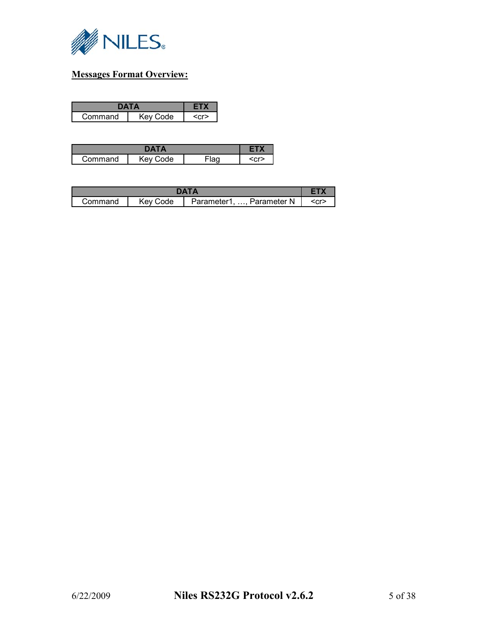

# **Messages Format Overview:**

| mmand | ำde -<br>. m. |  |
|-------|---------------|--|

| nmand | ۹۵<br> |  | ÷ |
|-------|--------|--|---|

| DATA    |          |                                 |         |
|---------|----------|---------------------------------|---------|
| Command | Key Code | Parameter N<br>Parameter1,<br>. | $<$ cr> |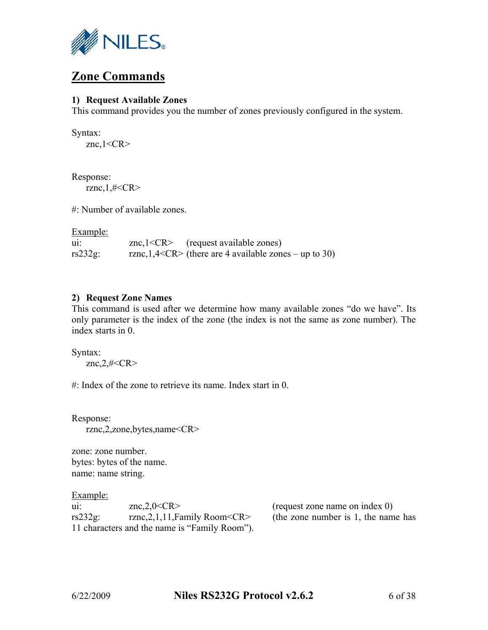

# **Zone Commands**

## **1) Request Available Zones**

This command provides you the number of zones previously configured in the system.

Syntax: znc, $1 < CR$ 

Response: rznc, $1,$ #<CR>

#: Number of available zones.

Example:

| uı:        | znc, $1 < CR$ | (request available zones)                                 |
|------------|---------------|-----------------------------------------------------------|
| $rs232g$ : |               | rznc, $1,4 < CR$ (there are 4 available zones – up to 30) |

## **2) Request Zone Names**

This command is used after we determine how many available zones "do we have". Its only parameter is the index of the zone (the index is not the same as zone number). The index starts in 0.

Syntax: znc, $2$ ,#<CR>

#: Index of the zone to retrieve its name. Index start in 0.

Response: rznc,2,zone,bytes,name<CR>

zone: zone number. bytes: bytes of the name. name: name string.

Example:

| uı:        | znc,2,0 $\langle$ CR $>$                      |
|------------|-----------------------------------------------|
| $rs232g$ : | rznc, $2, 1, 11$ , Family Room <cr></cr>      |
|            | 11 characters and the name is "Family Room"). |

 $(request zone name on index 0)$ (the zone number is  $1$ , the name has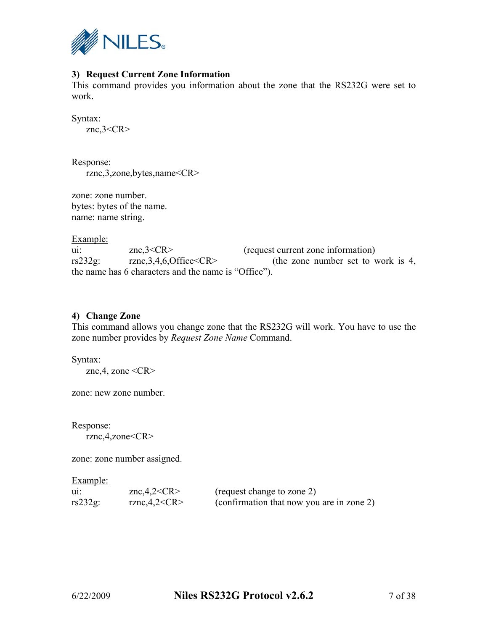

# **3) Request Current Zone Information**

This command provides you information about the zone that the RS232G were set to work.

Syntax: znc,3<CR>

Response: rznc,3,zone,bytes,name<CR>

zone: zone number. bytes: bytes of the name. name: name string.

Example:

ui: znc,3<CR> (request current zone information) rs232g: rznc,3,4,6,Office<CR> (the zone number set to work is 4, the name has 6 characters and the name is "Office").

## **4) Change Zone**

This command allows you change zone that the RS232G will work. You have to use the zone number provides by *Request Zone Name* Command.

Syntax: znc, 4, zone  $\langle CR \rangle$ 

zone: new zone number.

Response: rznc,4,zone<CR>

zone: zone number assigned.

| uı:     | znc,4,2 <cr></cr> | (request change to zone 2)                |
|---------|-------------------|-------------------------------------------|
| rs232g: | rznc, 4, 2 < CR   | (confirmation that now you are in zone 2) |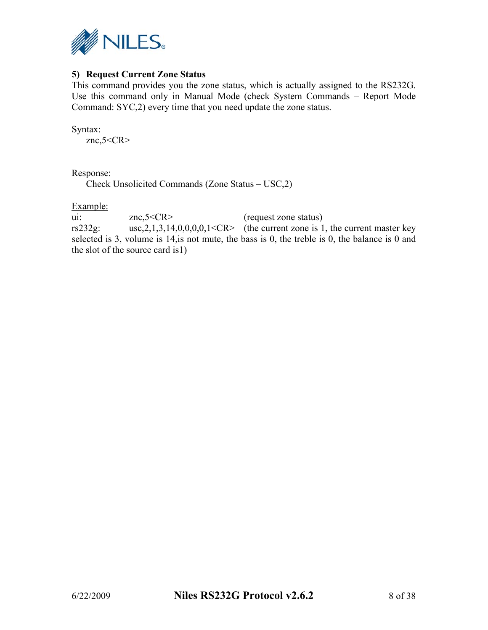

# **5) Request Current Zone Status**

This command provides you the zone status, which is actually assigned to the RS232G. Use this command only in Manual Mode (check System Commands – Report Mode Command: SYC,2) every time that you need update the zone status.

Syntax: znc, $5 < CR$ 

Response:

Check Unsolicited Commands (Zone Status – USC,2)

Example:

ui: znc,5<CR> (request zone status) rs232g: usc,  $2, 1, 3, 14, 0, 0, 0, 1 < CR$  (the current zone is 1, the current master key selected is 3, volume is 14,is not mute, the bass is 0, the treble is 0, the balance is 0 and the slot of the source card is1)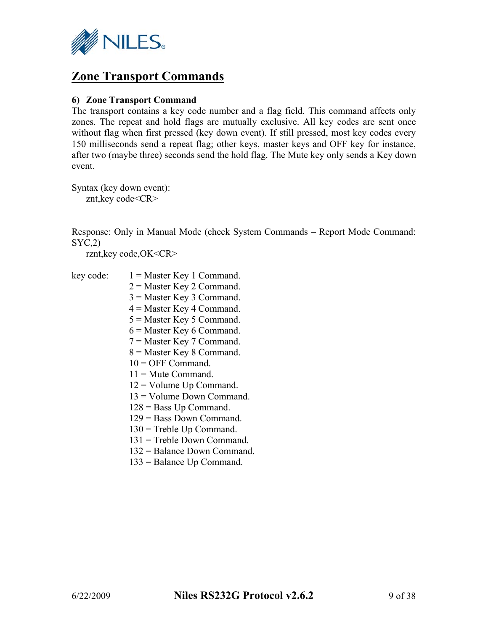

# **Zone Transport Commands**

## **6) Zone Transport Command**

The transport contains a key code number and a flag field. This command affects only zones. The repeat and hold flags are mutually exclusive. All key codes are sent once without flag when first pressed (key down event). If still pressed, most key codes every 150 milliseconds send a repeat flag; other keys, master keys and OFF key for instance, after two (maybe three) seconds send the hold flag. The Mute key only sends a Key down event.

Syntax (key down event): znt,key code<CR>

Response: Only in Manual Mode (check System Commands – Report Mode Command: SYC,2)

rznt,key code,OK<CR>

| key code: | $1 = Master Key 1 Command$ . |
|-----------|------------------------------|
|           | $2$ = Master Key 2 Command.  |
|           | $3$ = Master Key 3 Command.  |
|           | $4$ = Master Key 4 Command.  |
|           | $5$ = Master Key 5 Command.  |
|           | $6$ = Master Key 6 Command.  |
|           | $7 =$ Master Key 7 Command.  |
|           | $8$ = Master Key 8 Command.  |
|           | $10 =$ OFF Command.          |
|           | $11 =$ Mute Command.         |
|           | $12 =$ Volume Up Command.    |
|           | $13 =$ Volume Down Command.  |
|           | $128$ = Bass Up Command.     |
|           | $129$ = Bass Down Command.   |
|           | $130$ = Treble Up Command.   |
|           | $131$ = Treble Down Command. |
|           | 132 = Balance Down Command.  |
|           | $133$ = Balance Up Command.  |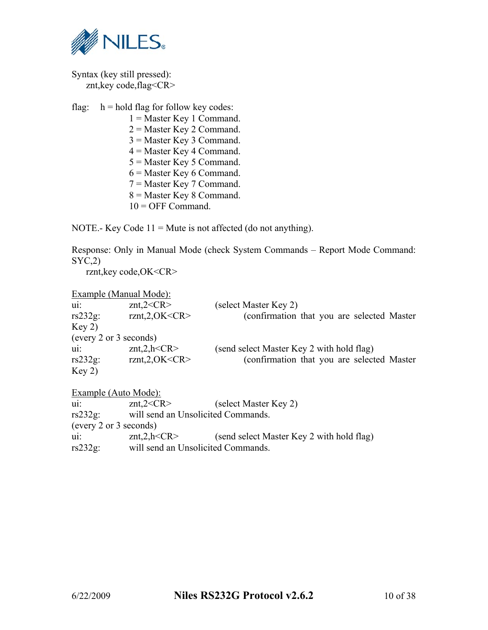

Syntax (key still pressed): znt,key code,flag<CR>

flag:  $h = \text{hold flag}$  for follow key codes: 1 = Master Key 1 Command. 2 = Master Key 2 Command. 3 = Master Key 3 Command. 4 = Master Key 4 Command. 5 = Master Key 5 Command. 6 = Master Key 6 Command. 7 = Master Key 7 Command. 8 = Master Key 8 Command.  $10 =$  OFF Command.

NOTE.- Key Code  $11 =$  Mute is not affected (do not anything).

Response: Only in Manual Mode (check System Commands – Report Mode Command:  $SYC,2)$ 

rznt,key code,OK<CR>

|                        | Example (Manual Mode):             |                                             |
|------------------------|------------------------------------|---------------------------------------------|
| $\mathbf{u}$ :         | znt,2 < CR                         | (select Master Key 2)                       |
| $rs232g$ :             | rznt, 2, OK < CR                   | (confirmation that you are selected Master) |
| Key 2)                 |                                    |                                             |
| (every 2 or 3 seconds) |                                    |                                             |
| $\mathbf{u}$ :         | znt, 2, h < CR                     | (send select Master Key 2 with hold flag)   |
| $rs232g$ :             | rznt, 2, OK < CR                   | (confirmation that you are selected Master) |
| Key 2)                 |                                    |                                             |
| Example (Auto Mode):   |                                    |                                             |
| $\mathbf{u}$ :         | znt,2 < CR                         | (select Master Key 2)                       |
| $rs232g$ :             | will send an Unsolicited Commands. |                                             |
| (every 2 or 3 seconds) |                                    |                                             |

ui: znt,2,h<CR> (send select Master Key 2 with hold flag)

rs232g: will send an Unsolicited Commands.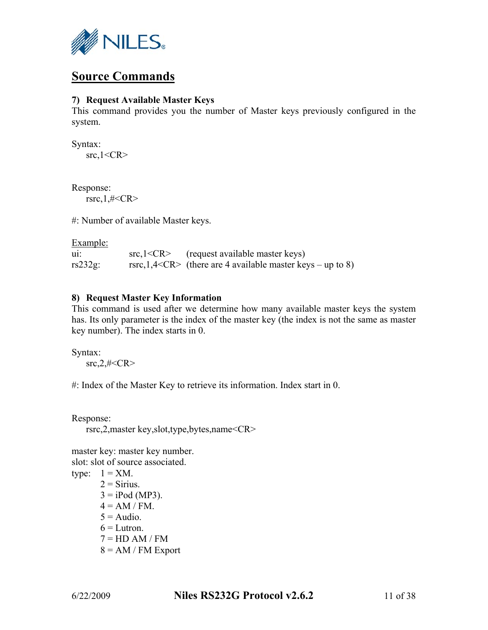

# **Source Commands**

## **7) Request Available Master Keys**

This command provides you the number of Master keys previously configured in the system.

Syntax:  $src, 1 < CR$ 

Response: rsrc,  $1$ ,#<CR>

#: Number of available Master keys.

Example:

| u1:        | src, l < CR | (request available master keys)                                |
|------------|-------------|----------------------------------------------------------------|
| $rs232g$ : |             | rsrc, $1,4 < CR$ (there are 4 available master keys – up to 8) |

## **8) Request Master Key Information**

This command is used after we determine how many available master keys the system has. Its only parameter is the index of the master key (the index is not the same as master key number). The index starts in 0.

Syntax:  $src, 2, # < CR$ 

#: Index of the Master Key to retrieve its information. Index start in 0.

Response: rsrc,2,master key,slot,type,bytes,name<CR>

master key: master key number. slot: slot of source associated. type:  $1 = XM$ .

 $2 =$  Sirius.  $3 = i$ Pod (MP3).  $4 = AM / FM$ .  $5 =$ Audio.  $6 =$ Lutron  $7 = HD AM / FM$  $8 = AM / FM$  Export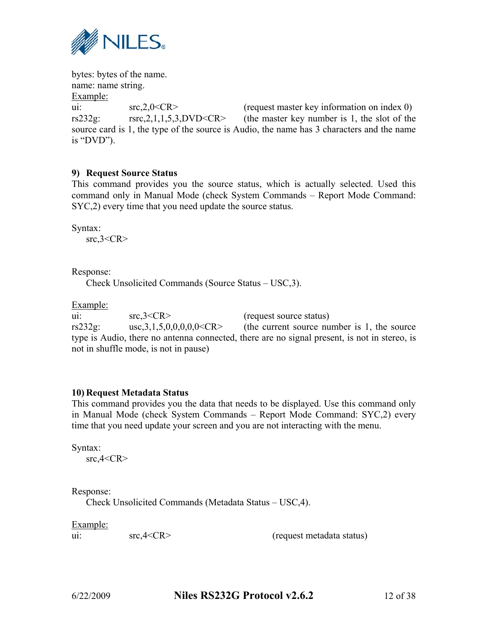

bytes: bytes of the name. name: name string. Example: ui:  $src, 2, 0 < CR$  (request master key information on index 0) rs232g: rsrc,2,1,1,5,3,DVD<CR> (the master key number is 1, the slot of the source card is 1, the type of the source is Audio, the name has 3 characters and the name is "DVD").

## **9) Request Source Status**

This command provides you the source status, which is actually selected. Used this command only in Manual Mode (check System Commands – Report Mode Command: SYC,2) every time that you need update the source status.

Syntax:  $src, 3 < CR$ 

Response:

Check Unsolicited Commands (Source Status – USC,3).

Example:

ui:  $src,3 < CR$ > (request source status) rs232g: usc,  $3, 1, 5, 0, 0, 0, 0, 0 \leq C$ R (the current source number is 1, the source type is Audio, there no antenna connected, there are no signal present, is not in stereo, is not in shuffle mode, is not in pause)

## **10) Request Metadata Status**

This command provides you the data that needs to be displayed. Use this command only in Manual Mode (check System Commands – Report Mode Command: SYC,2) every time that you need update your screen and you are not interacting with the menu.

Syntax:

 $src, 4 < CR$ 

#### Response:

Check Unsolicited Commands (Metadata Status – USC,4).

Example:

ui:  $src, 4 < CR$ > (request metadata status)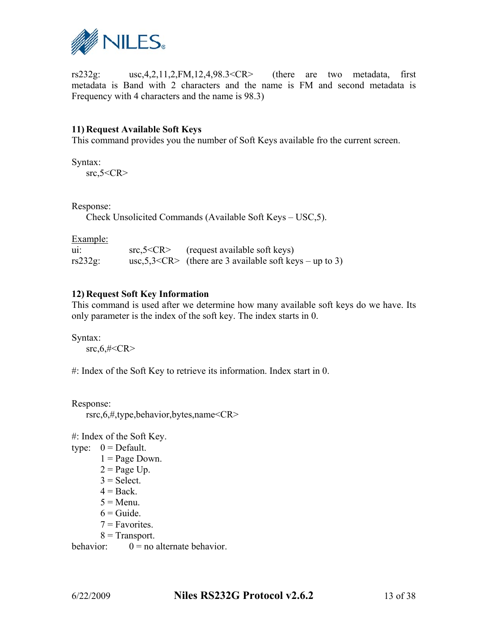

rs232g: usc,4,2,11,2,FM,12,4,98.3<CR> (there are two metadata, first metadata is Band with 2 characters and the name is FM and second metadata is Frequency with 4 characters and the name is 98.3)

# **11) Request Available Soft Keys**

This command provides you the number of Soft Keys available fro the current screen.

Syntax:

 $src, 5 < CR$ 

Response:

Check Unsolicited Commands (Available Soft Keys – USC,5).

Example:

| -u11       | src, 5 < CR | (request available soft keys)                               |
|------------|-------------|-------------------------------------------------------------|
| $rs232g$ : |             | usc, $5,3 < CR$ (there are 3 available soft keys – up to 3) |

## **12) Request Soft Key Information**

This command is used after we determine how many available soft keys do we have. Its only parameter is the index of the soft key. The index starts in 0.

Syntax:  $src, 6, \# < CR$ 

#: Index of the Soft Key to retrieve its information. Index start in 0.

Response: rsrc,6,#,type,behavior,bytes,name<CR>

#: Index of the Soft Key.

- type:  $0 = \text{Default}$ .
	- $1 = Page Down$ .
	- $2 = Page Up.$
	- $3 =$  Select.
	- $4 = Back$
	- $5 =$ Menu.
	- $6 =$ Guide.
	- $7 =$ Favorites.
	- $8$  = Transport.

behavior:  $0 = no$  alternate behavior.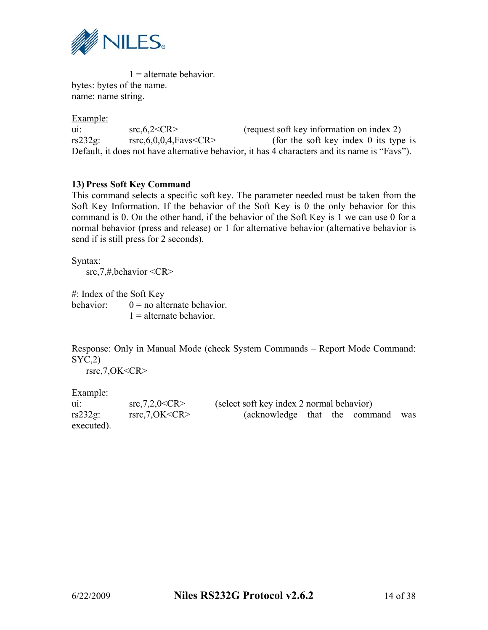

 $1 =$  alternate behavior. bytes: bytes of the name. name: name string.

Example:

| u1:        | src, 6, 2 < CR                       | (request soft key information on index 2)                                                    |
|------------|--------------------------------------|----------------------------------------------------------------------------------------------|
| $rs232g$ : | rsrc, $6,0,0,4$ , Favs $\leq$ CR $>$ | (for the soft key index $\theta$ its type is                                                 |
|            |                                      | Default, it does not have alternative behavior, it has 4 characters and its name is "Favs"). |

## **13) Press Soft Key Command**

This command selects a specific soft key. The parameter needed must be taken from the Soft Key Information. If the behavior of the Soft Key is 0 the only behavior for this command is 0. On the other hand, if the behavior of the Soft Key is 1 we can use 0 for a normal behavior (press and release) or 1 for alternative behavior (alternative behavior is send if is still press for 2 seconds).

Syntax: src,7,#,behavior <CR>

#: Index of the Soft Key behavior:  $0 = no$  alternate behavior  $1 =$  alternate behavior.

Response: Only in Manual Mode (check System Commands – Report Mode Command:  $SYC,2)$ 

rsrc,7,OK<CR>

| uı:        | src, 7, 2, 0 < CR | (select soft key index 2 normal behavior) |  |     |
|------------|-------------------|-------------------------------------------|--|-----|
| $rs232g$ : | rsrc,7,OK < CR    | (acknowledge that the command             |  | was |
| executed). |                   |                                           |  |     |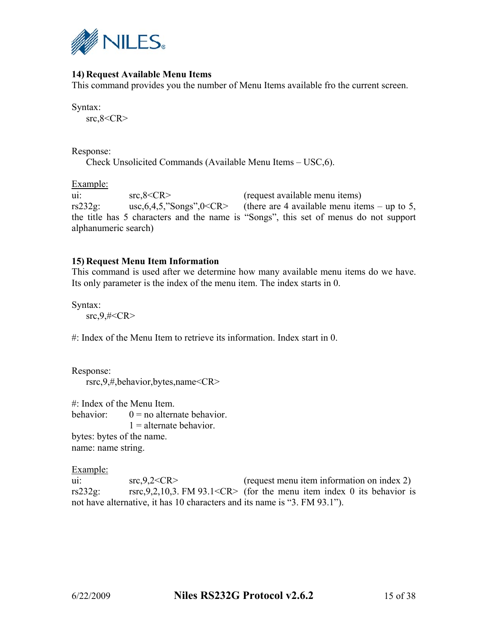

# **14) Request Available Menu Items**

This command provides you the number of Menu Items available fro the current screen.

Syntax:

 $src, 8 < CR$ 

Response:

Check Unsolicited Commands (Available Menu Items – USC,6).

Example:

ui: src,8<CR> (request available menu items) rs232g: usc,  $6, 4, 5$ , "Songs",  $0 < CR$  (there are 4 available menu items – up to 5, the title has 5 characters and the name is "Songs", this set of menus do not support alphanumeric search)

## **15) Request Menu Item Information**

This command is used after we determine how many available menu items do we have. Its only parameter is the index of the menu item. The index starts in 0.

Syntax:

 $src, 9, \# < CR$ 

#: Index of the Menu Item to retrieve its information. Index start in 0.

Response: rsrc,9,#,behavior,bytes,name<CR>

#: Index of the Menu Item. behavior:  $0 = no$  alternate behavior  $1 =$  alternate behavior. bytes: bytes of the name. name: name string.

Example:

ui:  $src, 9, 2 < CR >$  (request menu item information on index 2) rs232g: rsrc,9,2,10,3. FM 93.1<CR> (for the menu item index 0 its behavior is not have alternative, it has 10 characters and its name is "3. FM 93.1").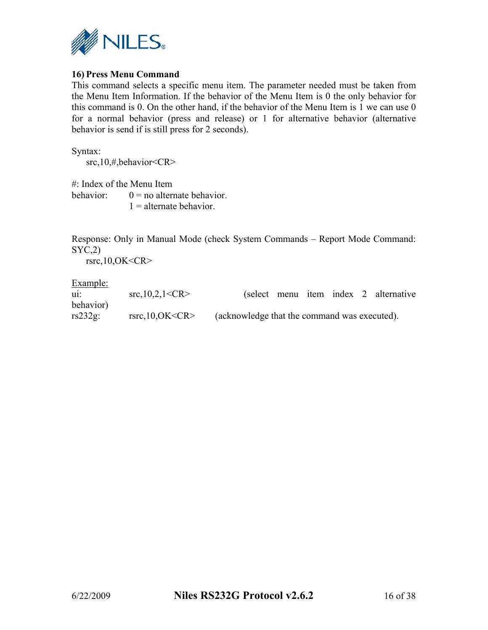

# **16) Press Menu Command**

This command selects a specific menu item. The parameter needed must be taken from the Menu Item Information. If the behavior of the Menu Item is 0 the only behavior for this command is 0. On the other hand, if the behavior of the Menu Item is 1 we can use 0 for a normal behavior (press and release) or 1 for alternative behavior (alternative behavior is send if is still press for 2 seconds).

Syntax: src,10,#,behavior<CR>

#: Index of the Menu Item behavior:  $0 = no$  alternate behavior.  $1 =$  alternate behavior.

Response: Only in Manual Mode (check System Commands – Report Mode Command:  $SYC<sub>2</sub>$ )

rsrc,10,OK<CR>

| $\mathbf{u}$ | src, 10, 2, 1 < CR | (select menu item index 2 alternative        |  |  |
|--------------|--------------------|----------------------------------------------|--|--|
| behavior)    |                    |                                              |  |  |
| $rs232g$ :   | rsrc, 10, OK < CR  | (acknowledge that the command was executed). |  |  |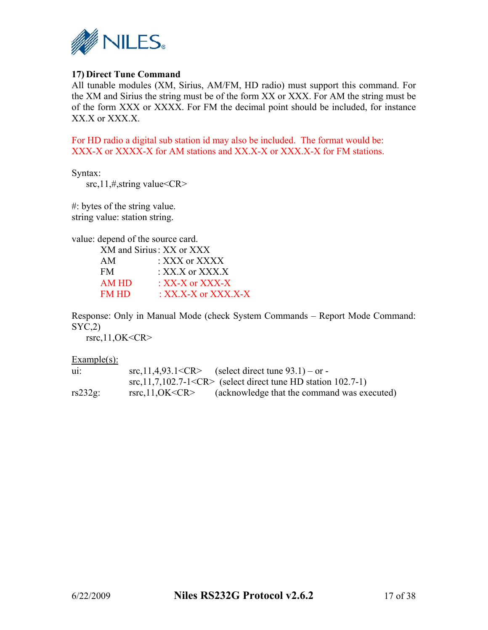

## **17) Direct Tune Command**

All tunable modules (XM, Sirius, AM/FM, HD radio) must support this command. For the XM and Sirius the string must be of the form XX or XXX. For AM the string must be of the form XXX or XXXX. For FM the decimal point should be included, for instance XX.X or XXX.X.

For HD radio a digital sub station id may also be included. The format would be: XXX-X or XXXX-X for AM stations and XX.X-X or XXX.X-X for FM stations.

Syntax:

src,11,#,string value<CR>

#: bytes of the string value. string value: station string.

value: depend of the source card.

|              | XM and Sirius: XX or XXX |
|--------------|--------------------------|
| AM           | : XXX or XXXX            |
| <b>FM</b>    | $\cdot$ XX X or XXX X    |
| AM HD        | $\cdot$ XX-X or XXX-X    |
| <b>FM HD</b> | : XX.X-X or XXX.X-X      |
|              |                          |

Response: Only in Manual Mode (check System Commands – Report Mode Command:  $SYC,2)$ 

rsrc,11,OK<CR>

Example(s):

| $\mathbf{u}$ | $src, 11, 4, 93.1 < CR$ (select direct tune 93.1) – or -             |
|--------------|----------------------------------------------------------------------|
|              | $src, 11, 7, 102.7 - 1 < CR$ (select direct tune HD station 102.7-1) |
| $rs232g$ :   | (acknowledge that the command was executed)<br>rsrc,11,OK < CR       |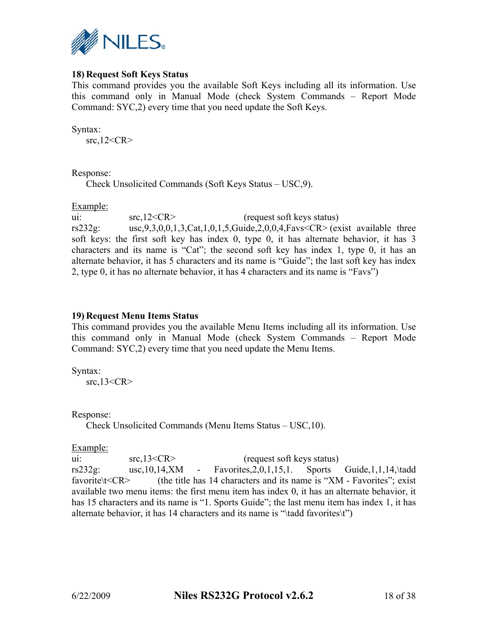

# **18) Request Soft Keys Status**

This command provides you the available Soft Keys including all its information. Use this command only in Manual Mode (check System Commands – Report Mode Command: SYC,2) every time that you need update the Soft Keys.

Syntax:

src,12<CR>

#### Response:

Check Unsolicited Commands (Soft Keys Status – USC,9).

#### Example:

ui:  $src, 12 < CR$  (request soft keys status) rs232g: usc,9,3,0,0,1,3,Cat,1,0,1,5,Guide,2,0,0,4,Favs<CR> (exist available three soft keys: the first soft key has index 0, type 0, it has alternate behavior, it has 3 characters and its name is "Cat"; the second soft key has index 1, type 0, it has an alternate behavior, it has 5 characters and its name is "Guide"; the last soft key has index 2, type 0, it has no alternate behavior, it has 4 characters and its name is "Favs")

## **19) Request Menu Items Status**

This command provides you the available Menu Items including all its information. Use this command only in Manual Mode (check System Commands – Report Mode Command: SYC,2) every time that you need update the Menu Items.

Syntax: src,13<CR>

Response:

Check Unsolicited Commands (Menu Items Status – USC,10).

Example:

ui:  $src, 13 < CR$  (request soft keys status) rs232g: usc,10,14,XM - Favorites,2,0,1,15,1. Sports Guide,1,1,14,\tadd favorite\t<CR> (the title has 14 characters and its name is "XM - Favorites"; exist available two menu items: the first menu item has index 0, it has an alternate behavior, it has 15 characters and its name is "1. Sports Guide"; the last menu item has index 1, it has alternate behavior, it has 14 characters and its name is "\tadd favorites\t")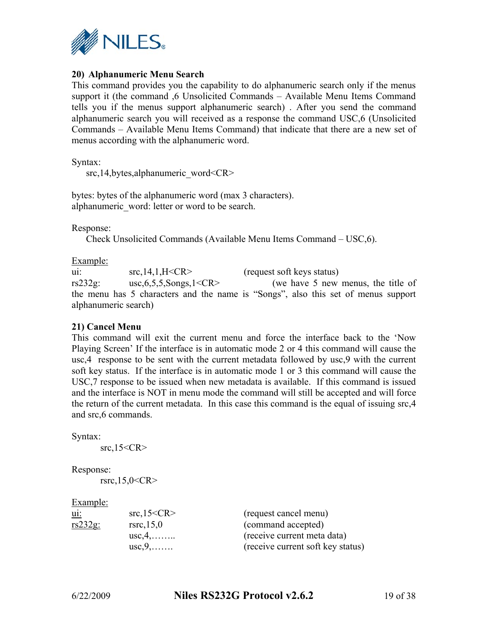

# **20) Alphanumeric Menu Search**

This command provides you the capability to do alphanumeric search only if the menus support it (the command ,6 Unsolicited Commands – Available Menu Items Command tells you if the menus support alphanumeric search) . After you send the command alphanumeric search you will received as a response the command USC,6 (Unsolicited Commands – Available Menu Items Command) that indicate that there are a new set of menus according with the alphanumeric word.

Syntax:

src,14,bytes,alphanumeric\_word<CR>

bytes: bytes of the alphanumeric word (max 3 characters). alphanumeric\_word: letter or word to be search.

Response:

Check Unsolicited Commands (Available Menu Items Command – USC,6).

Example:

ui: src,14,1,H<CR> (request soft keys status) rs232g: usc,6,5,5,Songs,1<CR> (we have 5 new menus, the title of the menu has 5 characters and the name is "Songs", also this set of menus support alphanumeric search)

## **21) Cancel Menu**

This command will exit the current menu and force the interface back to the 'Now Playing Screen' If the interface is in automatic mode 2 or 4 this command will cause the usc,4 response to be sent with the current metadata followed by usc,9 with the current soft key status. If the interface is in automatic mode 1 or 3 this command will cause the USC,7 response to be issued when new metadata is available. If this command is issued and the interface is NOT in menu mode the command will still be accepted and will force the return of the current metadata. In this case this command is the equal of issuing src,4 and src,6 commands.

Syntax:

src, $15 < CR$ 

Response:

 $rsrc, 15, 0 < CR$ 

#### Example:

| ul:        | src, 15 < CR            |
|------------|-------------------------|
| $rs232g$ : | rsrc, 15, 0             |
|            | $usc, 4, \ldots \ldots$ |
|            | $\text{usc}, 9, \ldots$ |

(request cancel menu) (command accepted) (receive current meta data) (receive current soft key status)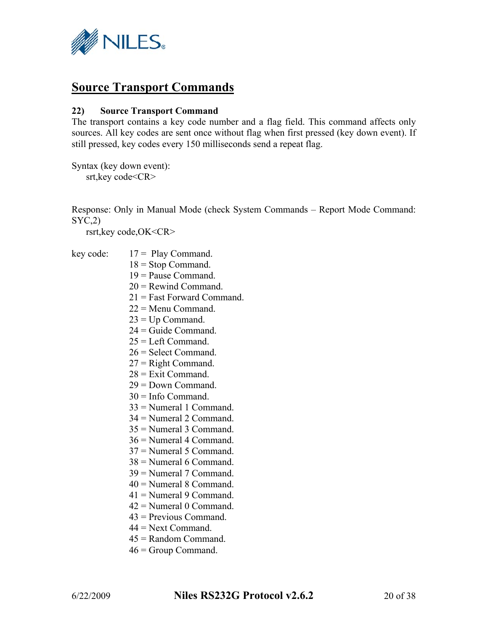

# **Source Transport Commands**

## **22) Source Transport Command**

The transport contains a key code number and a flag field. This command affects only sources. All key codes are sent once without flag when first pressed (key down event). If still pressed, key codes every 150 milliseconds send a repeat flag.

Syntax (key down event): srt, key code<CR>

Response: Only in Manual Mode (check System Commands – Report Mode Command: SYC,2)

rsrt,key code,OK<CR>

- key code:  $17 =$  Play Command.
	- $18 =$ Stop Command.
	- 19 = Pause Command.
	- 20 = Rewind Command.
	- 21 = Fast Forward Command.
	- $22 =$ Menu Command.
	- $23 = Up Command$ .
	- 24 = Guide Command.
	- $25$  = Left Command.
	- 26 = Select Command.
	- 27 = Right Command.
	- $28$  = Exit Command.
	- 29 = Down Command.
	- $30$  = Info Command.
	- 33 = Numeral 1 Command.
	- 34 = Numeral 2 Command.
	- 35 = Numeral 3 Command.
	- 36 = Numeral 4 Command.
	- 37 = Numeral 5 Command.
	- 38 = Numeral 6 Command.
	- 39 = Numeral 7 Command.
	- 40 = Numeral 8 Command.
	- 41 = Numeral 9 Command.
	- 42 = Numeral 0 Command.
	- 43 = Previous Command.
	- $44 =$ Next Command
	- 45 = Random Command.
	- 46 = Group Command.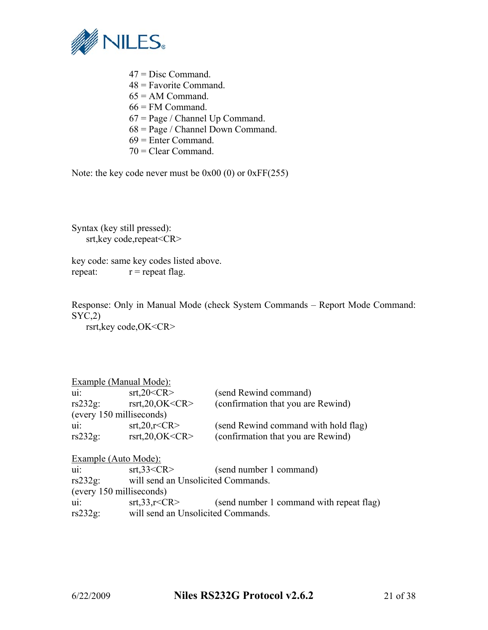

- 47 = Disc Command. 48 = Favorite Command.  $65 = AM$  Command.  $66$  = FM Command.  $67$  = Page / Channel Up Command.  $68 = Page / Channel Down Command$ .
- 69 = Enter Command.
- 70 = Clear Command.

Note: the key code never must be 0x00 (0) or 0xFF(255)

Syntax (key still pressed): srt,key code,repeat<CR>

key code: same key codes listed above. repeat:  $r =$  repeat flag.

Response: Only in Manual Mode (check System Commands – Report Mode Command:  $SYC,2)$ 

rsrt,key code,OK<CR>

| <b>Example (Manual Mode):</b> |                                                                          |
|-------------------------------|--------------------------------------------------------------------------|
| str.20 < CR                   | (send Rewind command)                                                    |
| rsrt, $20, OK < CR$           | (confirmation that you are Rewind)                                       |
| (every 150 milliseconds)      |                                                                          |
| str20,r < CR                  | (send Rewind command with hold flag)                                     |
| rsrt, $20, OK < CR$           | (confirmation that you are Rewind)                                       |
| <b>Example (Auto Mode):</b>   |                                                                          |
| str.33 < CR                   | (send number 1 command)                                                  |
|                               |                                                                          |
| (every 150 milliseconds)      |                                                                          |
| str, 33, r < CR               | (send number 1 command with repeat flag)                                 |
|                               |                                                                          |
|                               | will send an Unsolicited Commands.<br>will send an Unsolicited Commands. |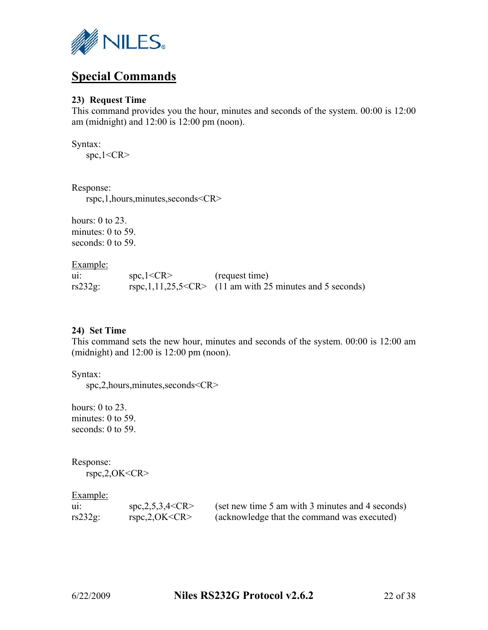

# **Special Commands**

## **23) Request Time**

This command provides you the hour, minutes and seconds of the system. 00:00 is 12:00 am (midnight) and 12:00 is 12:00 pm (noon).

Syntax:

spc,1<CR>

Response:

rspc,1,hours,minutes,seconds<CR>

hours:  $0$  to  $23$ . minutes: 0 to 59. seconds: 0 to 59.

Example:

| ui:        | spc,1 < CR | (request time)                                                  |
|------------|------------|-----------------------------------------------------------------|
| $rs232g$ : |            | rspc, $1, 11, 25, 5 < CR$ (11 am with 25 minutes and 5 seconds) |

## **24) Set Time**

This command sets the new hour, minutes and seconds of the system. 00:00 is 12:00 am (midnight) and 12:00 is 12:00 pm (noon).

Syntax:

spc,2,hours,minutes,seconds<CR>

hours: 0 to 23. minutes: 0 to 59. seconds: 0 to 59.

Response:

rspc,2,OK<CR>

| ui:        | $~$ spc,2,5,3,4 <cr></cr> | (set new time 5 am with 3 minutes and 4 seconds) |
|------------|---------------------------|--------------------------------------------------|
| $rs232g$ : | rspc,2,OK < CR            | (acknowledge that the command was executed)      |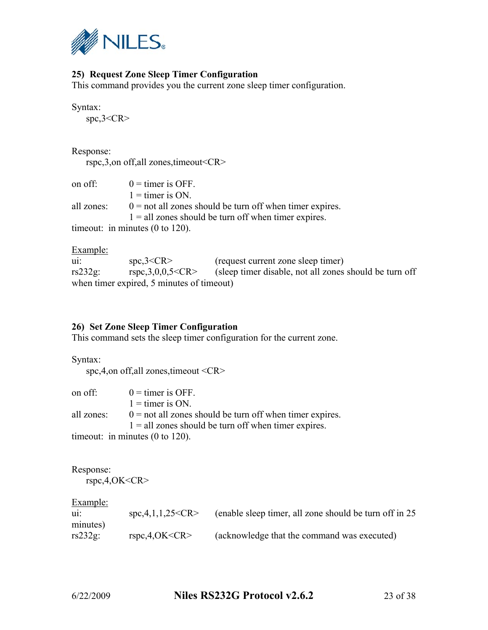

# **25) Request Zone Sleep Timer Configuration**

This command provides you the current zone sleep timer configuration.

Syntax:

spc,3<CR>

Response:

rspc,3,on off,all zones,timeout<CR>

| on off:    | $0 =$ timer is OFF.                                        |
|------------|------------------------------------------------------------|
|            | $1 =$ timer is ON.                                         |
| all zones: | $0 =$ not all zones should be turn off when timer expires. |
|            | $1 =$ all zones should be turn off when timer expires.     |
|            | time out: in minutes $(0 \text{ to } 120)$ .               |

Example:

| $\mathbf{u}$ | spc,3 < CR                                | (request current zone sleep timer)                     |
|--------------|-------------------------------------------|--------------------------------------------------------|
| $rs232g$ :   | rspc, 3, 0, 0, 5 < CR                     | (sleep timer disable, not all zones should be turn off |
|              | when timer expired, 5 minutes of timeout) |                                                        |

# **26) Set Zone Sleep Timer Configuration**

This command sets the sleep timer configuration for the current zone.

Syntax:

spc,4,on off,all zones,timeout <CR>

| on off:    | $0 =$ timer is OFF.                                        |
|------------|------------------------------------------------------------|
|            | $1 =$ timer is ON.                                         |
| all zones: | $0 =$ not all zones should be turn off when timer expires. |
|            | $1 =$ all zones should be turn off when timer expires.     |
|            |                                                            |

timeout: in minutes (0 to 120).

Response:

rspc,4,OK<CR>

| $\mathbf{u}$           | spc, 4, 1, 1, 25 < CR | (enable sleep timer, all zone should be turn off in 25) |
|------------------------|-----------------------|---------------------------------------------------------|
| minutes)<br>$rs232g$ : | rspc, 4, OK < CR      | (acknowledge that the command was executed)             |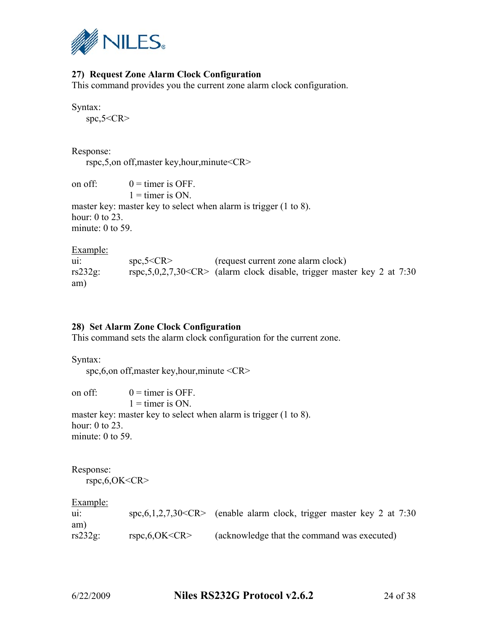

# **27) Request Zone Alarm Clock Configuration**

This command provides you the current zone alarm clock configuration.

Syntax:

spc,5<CR>

Response:

rspc,5,on off,master key,hour,minute<CR>

on off:  $0 =$  timer is OFF.  $1 =$  timer is ON. master key: master key to select when alarm is trigger (1 to 8). hour: 0 to 23.

minute: 0 to 59.

Example:

ui: spc,5<CR> (request current zone alarm clock) rs232g: rspc,5,0,2,7,30<CR> (alarm clock disable, trigger master key 2 at 7:30 am)

# **28) Set Alarm Zone Clock Configuration**

This command sets the alarm clock configuration for the current zone.

Syntax:

spc,6,on off,master key,hour,minute <CR>

on off:  $0 =$  timer is OFF.

 $1 =$  timer is ON.

master key: master key to select when alarm is trigger (1 to 8). hour: 0 to 23. minute: 0 to 59.

Response: rspc,6,OK<CR>

| $\mathbf{u}$ |                    | spc, $6, 1, 2, 7, 30 < CR$ (enable alarm clock, trigger master key 2 at 7:30) |
|--------------|--------------------|-------------------------------------------------------------------------------|
| am)          |                    |                                                                               |
| $rs232g$ :   | rspc, $6, OK < CR$ | (acknowledge that the command was executed)                                   |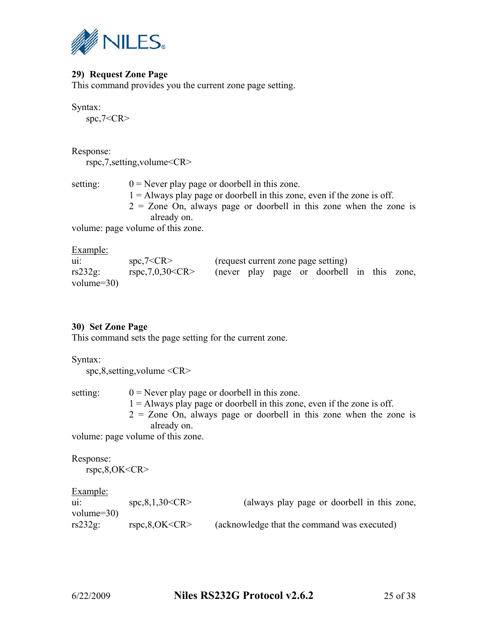

# **29) Request Zone Page**

This command provides you the current zone page setting.

Syntax:

spc,7<CR>

Response:

rspc,7,setting,volume<CR>

| setting: | $0$ = Never play page or doorbell in this zone.                           |  |  |
|----------|---------------------------------------------------------------------------|--|--|
|          | $1 =$ Always play page or doorbell in this zone, even if the zone is off. |  |  |
|          | $2 =$ Zone On, always page or doorbell in this zone when the zone is      |  |  |
|          | already on.                                                               |  |  |
|          | volumo: nago volumo of this zono                                          |  |  |

volume: page volume of this zone.

| <b>Example:</b> |                     |  |  |                                            |  |  |
|-----------------|---------------------|--|--|--------------------------------------------|--|--|
| $\mathbf{u}$    | spc,7 < CR          |  |  | (request current zone page setting)        |  |  |
| $rs232g$ :      | rspc, 7, 0, 30 < CR |  |  | (never play page or doorbell in this zone, |  |  |
| volume= $30$ )  |                     |  |  |                                            |  |  |

## **30) Set Zone Page**

This command sets the page setting for the current zone.

Syntax:

spc,8,setting,volume <CR>

setting:  $0 =$  Never play page or doorbell in this zone.

- $1 =$  Always play page or doorbell in this zone, even if the zone is off.
- $2 =$  Zone On, always page or doorbell in this zone when the zone is already on.

volume: page volume of this zone.

Response: rspc,8,OK<CR>

| $\mathbf{u}$   | spc, 8, 1, 30 < CR | (always play page or doorbell in this zone, |
|----------------|--------------------|---------------------------------------------|
| volume= $30$ ) |                    |                                             |
| $rs232g$ :     | rspc, 8, OK < CR   | (acknowledge that the command was executed) |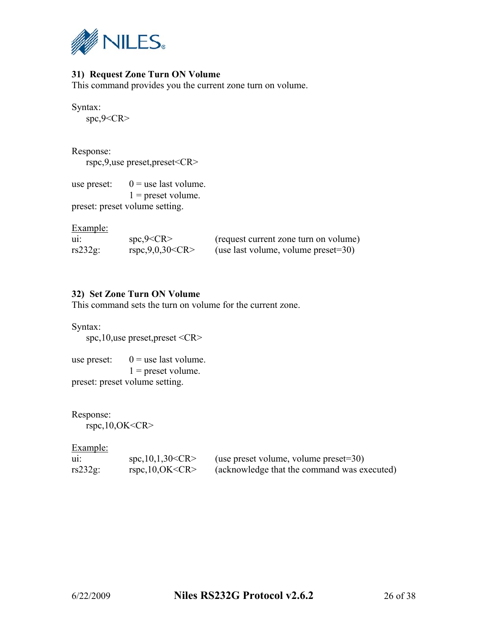

# **31) Request Zone Turn ON Volume**

This command provides you the current zone turn on volume.

Syntax:

spc,9<CR>

Response:

rspc,9,use preset,preset<CR>

use preset:  $0 =$  use last volume.  $1$  = preset volume.

preset: preset volume setting.

Example:

| $\mathbf{u}$ | spc,9 < CR          | (request current zone turn on volume)   |
|--------------|---------------------|-----------------------------------------|
| $rs232g$ :   | rspc, 9, 0, 30 < CR | (use last volume, volume preset= $30$ ) |

## **32) Set Zone Turn ON Volume**

This command sets the turn on volume for the current zone.

Syntax:

spc,10,use preset,preset <CR>

use preset:  $0 =$  use last volume.  $1$  = preset volume. preset: preset volume setting.

Response:

rspc,10,OK<CR>

| ui:        | spc, 10, 1, 30 < CR | (use preset volume, volume preset= $30$ )   |
|------------|---------------------|---------------------------------------------|
| $rs232g$ : | rspc, 10, OK < CR   | (acknowledge that the command was executed) |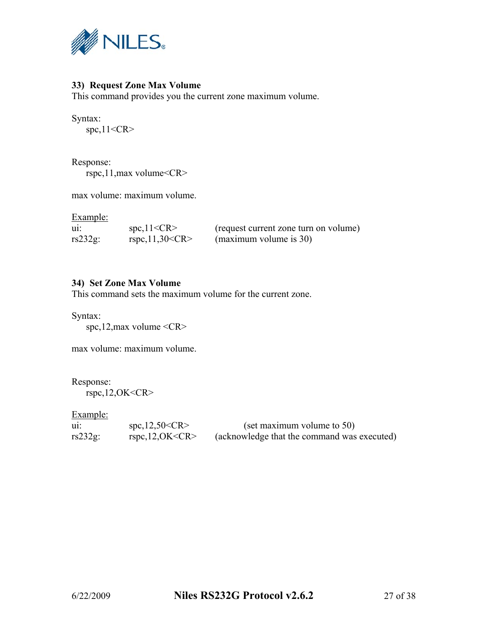

# **33) Request Zone Max Volume**

This command provides you the current zone maximum volume.

Syntax:

spc,11<CR>

Response: rspc,11,max volume<CR>

max volume: maximum volume.

Example:

| $\mathbf{u}$ | spc, 11 < CR          | (request current zone turn on volume) |
|--------------|-----------------------|---------------------------------------|
| $rs232g$ :   | $rspc,11,30~<$ CR $>$ | (maximum volume is 30)                |

## **34) Set Zone Max Volume**

This command sets the maximum volume for the current zone.

Syntax:

spc,12,max volume <CR>

max volume: maximum volume.

Response:

 $r<sub>r</sub>$ spc, 12, OK<CR>

| $\mathbf{u}$ | $~$ spc, 12,50 $<$ CR $>$ | (set maximum volume to 50)                  |
|--------------|---------------------------|---------------------------------------------|
| $rs232g$ :   | rspc, 12, OK < CR         | (acknowledge that the command was executed) |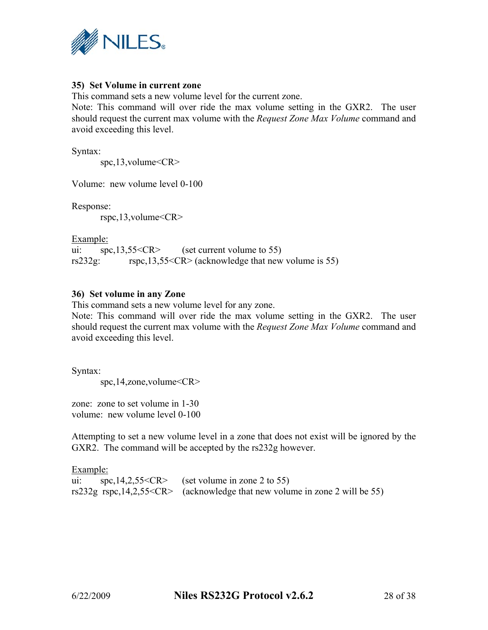

## **35) Set Volume in current zone**

This command sets a new volume level for the current zone.

Note: This command will over ride the max volume setting in the GXR2. The user should request the current max volume with the *Request Zone Max Volume* command and avoid exceeding this level.

Syntax:

spc,13,volume<CR>

Volume: new volume level 0-100

Response:

rspc,13,volume<CR>

Example:

ui:  $\text{spc,13.55} < CR$  (set current volume to 55) rs232g: rspc,13,55<CR> (acknowledge that new volume is 55)

## **36) Set volume in any Zone**

This command sets a new volume level for any zone.

Note: This command will over ride the max volume setting in the GXR2. The user should request the current max volume with the *Request Zone Max Volume* command and avoid exceeding this level.

Syntax:

spc,14,zone,volume<CR>

zone: zone to set volume in 1-30 volume: new volume level 0-100

Attempting to set a new volume level in a zone that does not exist will be ignored by the GXR2. The command will be accepted by the rs232g however.

Example: ui: spc,14,2,55<CR> (set volume in zone 2 to 55) rs232g rspc,14,2,55<CR> (acknowledge that new volume in zone 2 will be 55)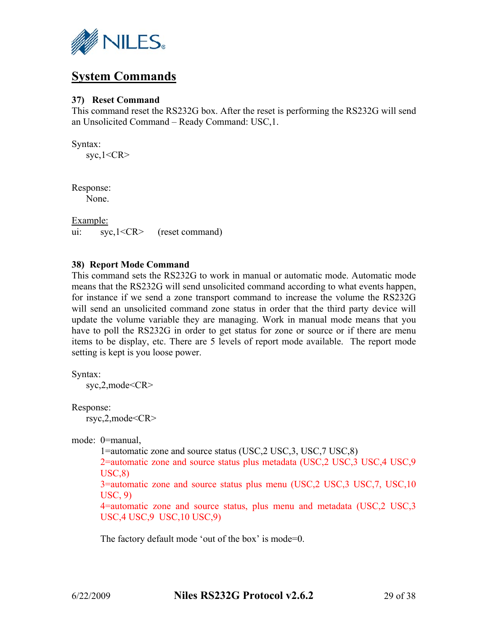

# **System Commands**

## **37) Reset Command**

This command reset the RS232G box. After the reset is performing the RS232G will send an Unsolicited Command – Ready Command: USC,1.

Syntax:  $syc, 1 < CR$ 

Response: None.

Example: ui: syc,1<CR> (reset command)

## **38) Report Mode Command**

This command sets the RS232G to work in manual or automatic mode. Automatic mode means that the RS232G will send unsolicited command according to what events happen, for instance if we send a zone transport command to increase the volume the RS232G will send an unsolicited command zone status in order that the third party device will update the volume variable they are managing. Work in manual mode means that you have to poll the RS232G in order to get status for zone or source or if there are menu items to be display, etc. There are 5 levels of report mode available. The report mode setting is kept is you loose power.

Syntax:

syc,2,mode<CR>

Response: rsyc,2,mode<CR>

mode: 0=manual,

1=automatic zone and source status (USC,2 USC,3, USC,7 USC,8)

2=automatic zone and source status plus metadata (USC,2 USC,3 USC,4 USC,9 USC,8)

3=automatic zone and source status plus menu (USC,2 USC,3 USC,7, USC,10 USC, 9)

4=automatic zone and source status, plus menu and metadata (USC,2 USC,3 USC,4 USC,9 USC,10 USC,9)

The factory default mode 'out of the box' is mode=0.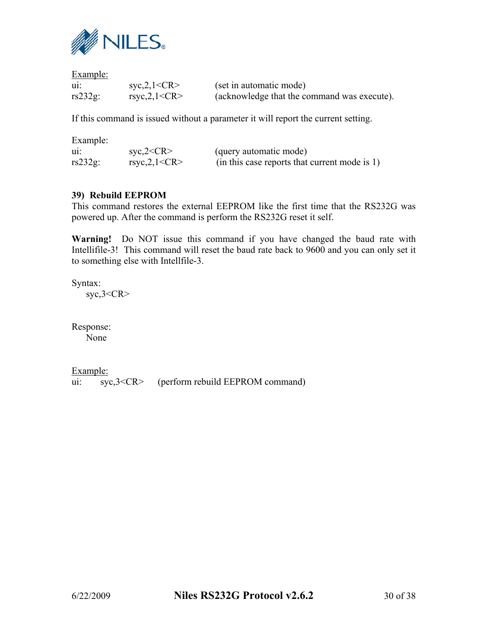

Example:

| $\mathbf{u}$ : | syc, 2, 1 < CR  | (set in automatic mode)                     |
|----------------|-----------------|---------------------------------------------|
| $rs232g$ :     | rsyc, 2, 1 < CR | (acknowledge that the command was execute). |

If this command is issued without a parameter it will report the current setting.

| Example:     |                         |                                               |
|--------------|-------------------------|-----------------------------------------------|
| $\mathbf{u}$ | $\text{svc},2\text{CR}$ | (query automatic mode)                        |
| $rs232g$ :   | rsyc, $2, 1 < CR$       | (in this case reports that current mode is 1) |

# **39) Rebuild EEPROM**

This command restores the external EEPROM like the first time that the RS232G was powered up. After the command is perform the RS232G reset it self.

**Warning!** Do NOT issue this command if you have changed the baud rate with Intellifile-3! This command will reset the baud rate back to 9600 and you can only set it to something else with Intellfile-3.

Syntax: syc,3<CR>

Response:

None

Example:

ui:  $\overline{Syc,3} < CR$  (perform rebuild EEPROM command)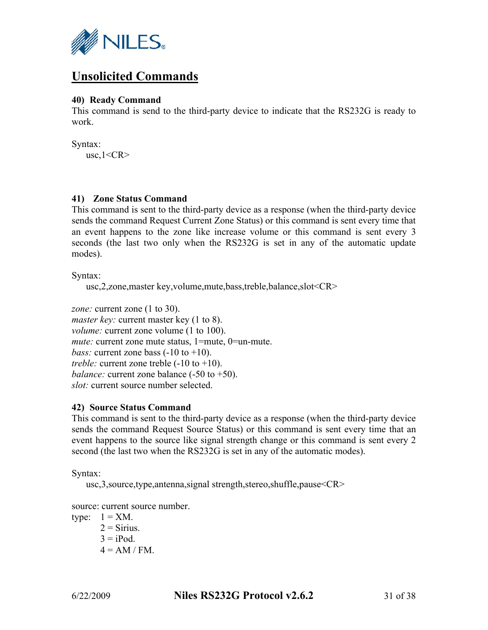

# **Unsolicited Commands**

## **40) Ready Command**

This command is send to the third-party device to indicate that the RS232G is ready to work.

Syntax:

 $usc, 1 < CR$ 

## **41) Zone Status Command**

This command is sent to the third-party device as a response (when the third-party device sends the command Request Current Zone Status) or this command is sent every time that an event happens to the zone like increase volume or this command is sent every 3 seconds (the last two only when the RS232G is set in any of the automatic update modes).

Syntax:

usc,2,zone,master key,volume,mute,bass,treble,balance,slot<CR>

zone: current zone (1 to 30). *master key:* current master key (1 to 8). *volume:* current zone volume (1 to 100). *mute:* current zone mute status, 1=mute, 0=un-mute. *bass:* current zone bass  $(-10 \text{ to } +10)$ . *treble:* current zone treble  $(-10 \text{ to } +10)$ . *balance:* current zone balance (-50 to +50). *slot:* current source number selected.

## **42) Source Status Command**

This command is sent to the third-party device as a response (when the third-party device sends the command Request Source Status) or this command is sent every time that an event happens to the source like signal strength change or this command is sent every 2 second (the last two when the RS232G is set in any of the automatic modes).

Syntax:

usc,3,source,type,antenna,signal strength,stereo,shuffle,pause<CR>

source: current source number.

type:  $1 = XM$ .  $2 =$  Sirius.  $3 = i$ Pod  $4 = AM / FM$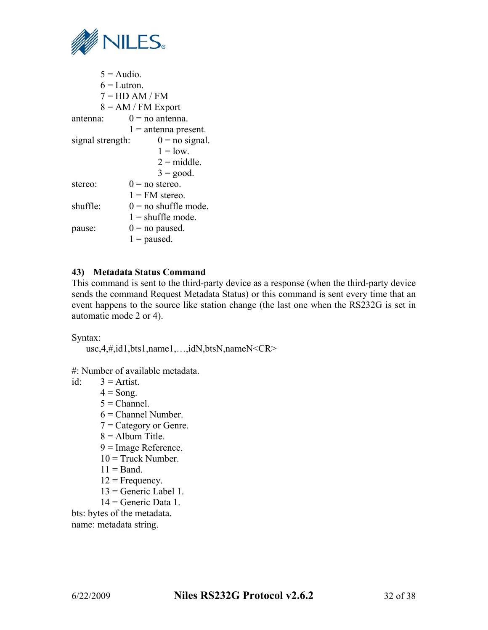

| $5 =$ Audio.<br>$6 = Lutron$ . |                        |
|--------------------------------|------------------------|
| $7 = HD AM / FM$               |                        |
| $8 = AM / FM$ Export           |                        |
| antenna:                       | $0 =$ no antenna.      |
|                                | $1 =$ antenna present. |
| signal strength:               | $0 =$ no signal.       |
|                                | $1 =$ low.             |
|                                | $2 = middle$ .         |
|                                | $3 = \text{good}$ .    |
| stereo:                        | $0 =$ no stereo.       |
|                                | $1 = FM$ stereo.       |
| shuffle:                       | $0 =$ no shuffle mode. |
|                                | $1 =$ shuffle mode.    |
| pause:                         | $0 =$ no paused.       |
|                                | $1 =$ paused.          |

## **43) Metadata Status Command**

This command is sent to the third-party device as a response (when the third-party device sends the command Request Metadata Status) or this command is sent every time that an event happens to the source like station change (the last one when the RS232G is set in automatic mode 2 or 4).

Syntax:

usc,4,#,id1,bts1,name1,…,idN,btsN,nameN<CR>

#: Number of available metadata.

id:  $3 = \text{Artist.}$ 

 $4 =$ Song.

 $5$  = Channel.

- 6 = Channel Number.
- 7 = Category or Genre.
- $8 =$  Album Title.
- 9 = Image Reference.
- $10$  = Truck Number.
- $11 =$ Band.
- $12$  = Frequency.
- $13$  = Generic Label 1.
- $14 =$  Generic Data 1.

bts: bytes of the metadata. name: metadata string.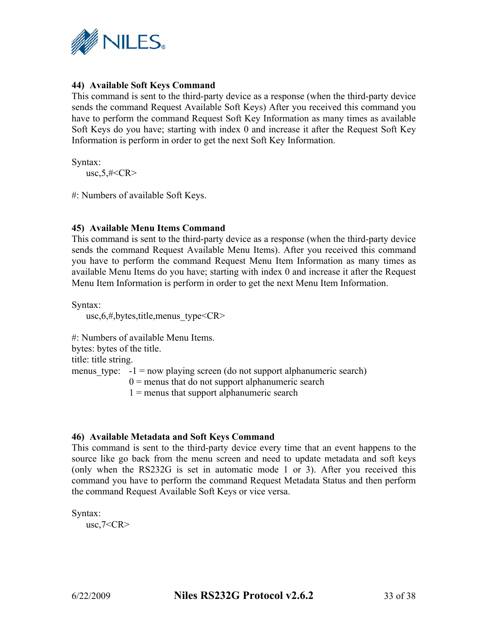

# **44) Available Soft Keys Command**

This command is sent to the third-party device as a response (when the third-party device sends the command Request Available Soft Keys) After you received this command you have to perform the command Request Soft Key Information as many times as available Soft Keys do you have; starting with index 0 and increase it after the Request Soft Key Information is perform in order to get the next Soft Key Information.

Syntax:  $usc, 5, \#$ 

#: Numbers of available Soft Keys.

## **45) Available Menu Items Command**

This command is sent to the third-party device as a response (when the third-party device sends the command Request Available Menu Items). After you received this command you have to perform the command Request Menu Item Information as many times as available Menu Items do you have; starting with index 0 and increase it after the Request Menu Item Information is perform in order to get the next Menu Item Information.

Syntax:

usc, $6,$ #,bytes,title,menus type<CR>

#: Numbers of available Menu Items. bytes: bytes of the title. title: title string. menus type:  $-1$  = now playing screen (do not support alphanumeric search)  $0 =$  menus that do not support alphanumeric search  $1$  = menus that support alphanumeric search

## **46) Available Metadata and Soft Keys Command**

This command is sent to the third-party device every time that an event happens to the source like go back from the menu screen and need to update metadata and soft keys (only when the RS232G is set in automatic mode 1 or 3). After you received this command you have to perform the command Request Metadata Status and then perform the command Request Available Soft Keys or vice versa.

Syntax:

 $usc, 7 < CR$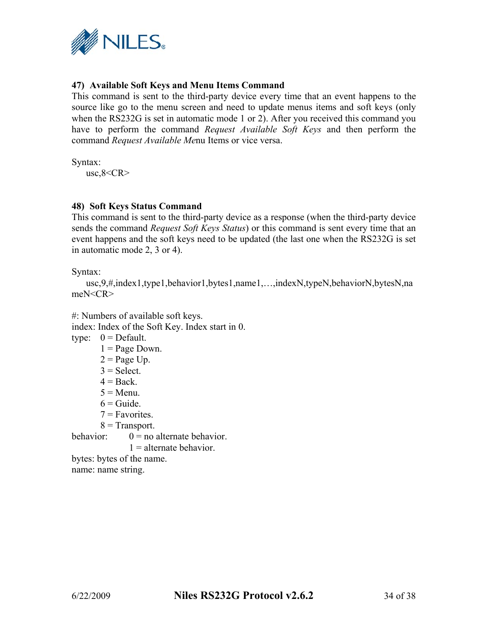

# **47) Available Soft Keys and Menu Items Command**

This command is sent to the third-party device every time that an event happens to the source like go to the menu screen and need to update menus items and soft keys (only when the RS232G is set in automatic mode 1 or 2). After you received this command you have to perform the command *Request Available Soft Keys* and then perform the command *Request Available Me*nu Items or vice versa.

Syntax:

 $usc, 8 < CR$ 

## **48) Soft Keys Status Command**

This command is sent to the third-party device as a response (when the third-party device sends the command *Request Soft Keys Status*) or this command is sent every time that an event happens and the soft keys need to be updated (the last one when the RS232G is set in automatic mode 2, 3 or 4).

Syntax:

```
usc,9,#,index1,type1,behavior1,bytes1,name1,…,indexN,typeN,behaviorN,bytesN,na
meN<CR>
```
#: Numbers of available soft keys. index: Index of the Soft Key. Index start in 0. type:  $0 = \text{Default}$ .  $1 = Page Down$ .  $2 = Page Up.$  $3 =$  Select.  $4 = Back.$ 

- $5 = \text{Menu}$
- $6 =$ Guide
- $7 =$ Favorites.
- $8$  = Transport.

behavior:  $0 = no$  alternate behavior.

 $1 =$  alternate behavior.

bytes: bytes of the name. name: name string.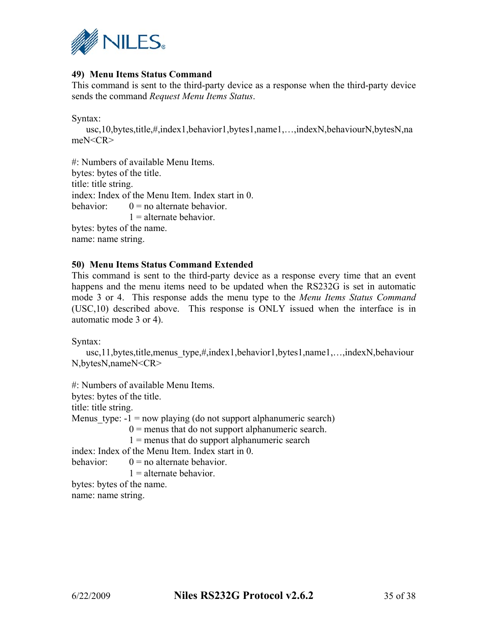

# **49) Menu Items Status Command**

This command is sent to the third-party device as a response when the third-party device sends the command *Request Menu Items Status*.

Syntax:

usc,10,bytes,title,#,index1,behavior1,bytes1,name1,…,indexN,behaviourN,bytesN,na meN<CR>

#: Numbers of available Menu Items. bytes: bytes of the title. title: title string. index: Index of the Menu Item. Index start in 0. behavior:  $0 = no$  alternate behavior.  $1 =$  alternate behavior. bytes: bytes of the name. name: name string.

#### **50) Menu Items Status Command Extended**

This command is sent to the third-party device as a response every time that an event happens and the menu items need to be updated when the RS232G is set in automatic mode 3 or 4. This response adds the menu type to the *Menu Items Status Command* (USC,10) described above. This response is ONLY issued when the interface is in automatic mode 3 or 4).

Syntax:

usc,11,bytes,title,menus\_type,#,index1,behavior1,bytes1,name1,…,indexN,behaviour N,bytesN,nameN<CR>

#: Numbers of available Menu Items. bytes: bytes of the title. title: title string. Menus type:  $-1$  = now playing (do not support alphanumeric search)  $0 =$  menus that do not support alphanumeric search.  $1$  = menus that do support alphanumeric search index: Index of the Menu Item. Index start in 0. behavior:  $0 = no$  alternate behavior  $1 =$  alternate behavior bytes: bytes of the name. name: name string.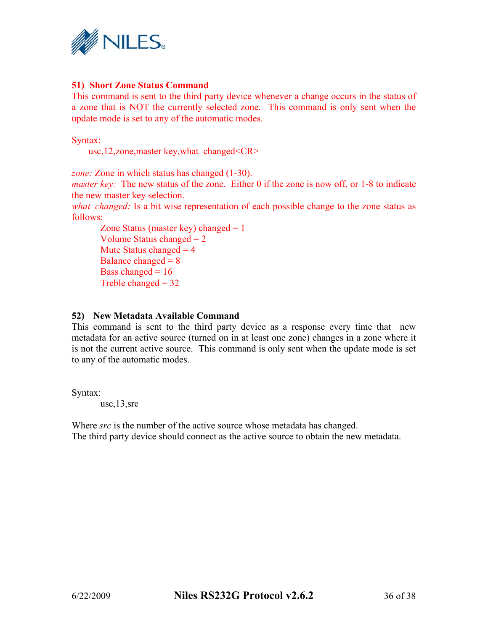

## **51) Short Zone Status Command**

This command is sent to the third party device whenever a change occurs in the status of a zone that is NOT the currently selected zone. This command is only sent when the update mode is set to any of the automatic modes.

Syntax:

usc,12,zone, master key, what changed<CR>

*zone:* Zone in which status has changed (1-30).

*master key:* The new status of the zone. Either 0 if the zone is now off, or 1-8 to indicate the new master key selection.

*what changed:* Is a bit wise representation of each possible change to the zone status as follows:

 Zone Status (master key) changed = 1 Volume Status changed  $= 2$ Mute Status changed  $= 4$ Balance changed  $= 8$ Bass changed  $= 16$ Treble changed  $= 32$ 

#### **52) New Metadata Available Command**

This command is sent to the third party device as a response every time that new metadata for an active source (turned on in at least one zone) changes in a zone where it is not the current active source. This command is only sent when the update mode is set to any of the automatic modes.

Syntax:

usc,13,src

Where *src* is the number of the active source whose metadata has changed. The third party device should connect as the active source to obtain the new metadata.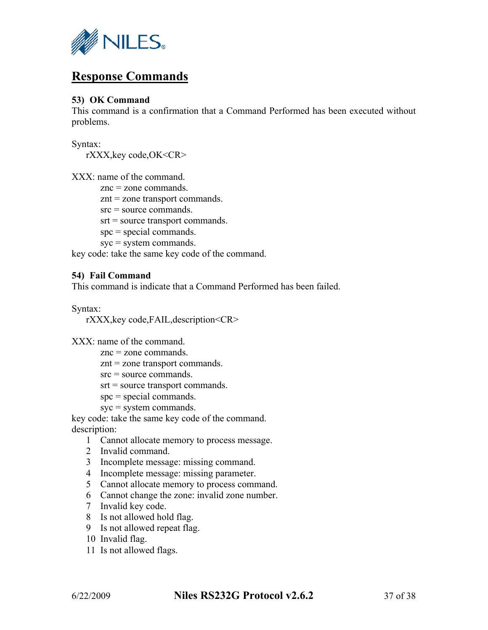

# **Response Commands**

# **53) OK Command**

This command is a confirmation that a Command Performed has been executed without problems.

Syntax:

rXXX,key code,OK<CR>

XXX: name of the command.

znc = zone commands.

znt = zone transport commands.

src = source commands.

srt = source transport commands.

spc = special commands.

syc = system commands.

key code: take the same key code of the command.

# **54) Fail Command**

This command is indicate that a Command Performed has been failed.

Syntax:

rXXX,key code,FAIL,description<CR>

XXX: name of the command.

znc = zone commands.

znt = zone transport commands.

src = source commands.

srt = source transport commands.

- $spc = special commands$ .
- syc = system commands.

key code: take the same key code of the command.

description:

- 1 Cannot allocate memory to process message.
- 2 Invalid command.
- 3 Incomplete message: missing command.
- 4 Incomplete message: missing parameter.
- 5 Cannot allocate memory to process command.
- 6 Cannot change the zone: invalid zone number.
- 7 Invalid key code.
- 8 Is not allowed hold flag.
- 9 Is not allowed repeat flag.
- 10 Invalid flag.
- 11 Is not allowed flags.